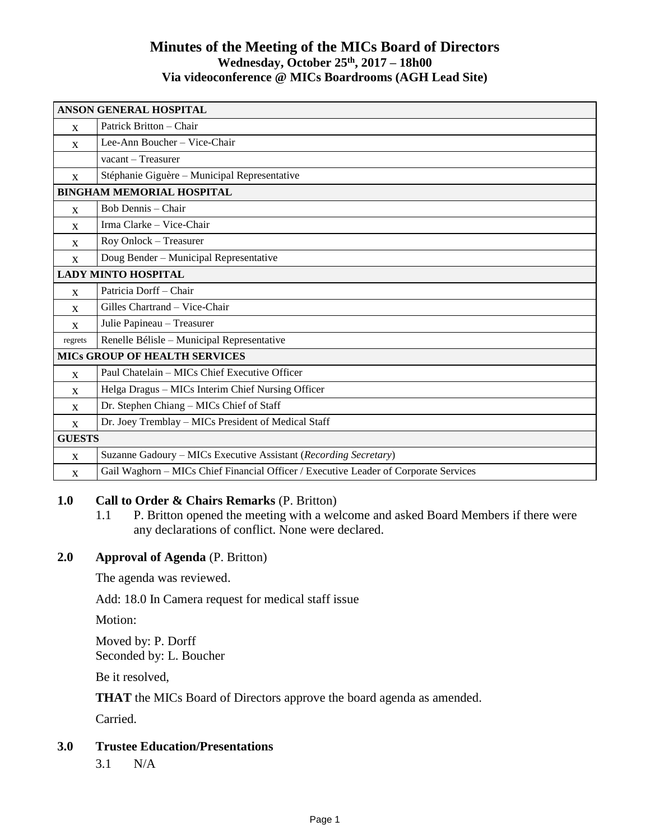# **Minutes of the Meeting of the MICs Board of Directors Wednesday, October 25 th , 2017 – 18h00 Via videoconference @ MICs Boardrooms (AGH Lead Site)**

| <b>ANSON GENERAL HOSPITAL</b>        |                                                                                      |
|--------------------------------------|--------------------------------------------------------------------------------------|
| $\mathbf{x}$                         | Patrick Britton – Chair                                                              |
| $\mathbf{x}$                         | Lee-Ann Boucher - Vice-Chair                                                         |
|                                      | vacant - Treasurer                                                                   |
| $\mathbf{x}$                         | Stéphanie Giguère – Municipal Representative                                         |
| <b>BINGHAM MEMORIAL HOSPITAL</b>     |                                                                                      |
| $\mathbf{x}$                         | Bob Dennis - Chair                                                                   |
| $\mathbf{x}$                         | Irma Clarke - Vice-Chair                                                             |
| X                                    | Roy Onlock - Treasurer                                                               |
| $\mathbf{x}$                         | Doug Bender - Municipal Representative                                               |
| <b>LADY MINTO HOSPITAL</b>           |                                                                                      |
| $\mathbf{X}$                         | Patricia Dorff - Chair                                                               |
| X                                    | Gilles Chartrand - Vice-Chair                                                        |
| $\mathbf{x}$                         | Julie Papineau - Treasurer                                                           |
| regrets                              | Renelle Bélisle - Municipal Representative                                           |
| <b>MICS GROUP OF HEALTH SERVICES</b> |                                                                                      |
| $\mathbf{X}$                         | Paul Chatelain – MICs Chief Executive Officer                                        |
| $\mathbf{x}$                         | Helga Dragus - MICs Interim Chief Nursing Officer                                    |
| $\mathbf{x}$                         | Dr. Stephen Chiang - MICs Chief of Staff                                             |
| X                                    | Dr. Joey Tremblay - MICs President of Medical Staff                                  |
| <b>GUESTS</b>                        |                                                                                      |
| $\mathbf{x}$                         | Suzanne Gadoury - MICs Executive Assistant (Recording Secretary)                     |
| $\mathbf{x}$                         | Gail Waghorn - MICs Chief Financial Officer / Executive Leader of Corporate Services |

# **1.0 Call to Order & Chairs Remarks** (P. Britton)

1.1 P. Britton opened the meeting with a welcome and asked Board Members if there were any declarations of conflict. None were declared.

# **2.0 Approval of Agenda** (P. Britton)

The agenda was reviewed.

Add: 18.0 In Camera request for medical staff issue

Motion:

Moved by: P. Dorff Seconded by: L. Boucher

Be it resolved,

**THAT** the MICs Board of Directors approve the board agenda as amended.

Carried.

#### **3.0 Trustee Education/Presentations**

3.1 N/A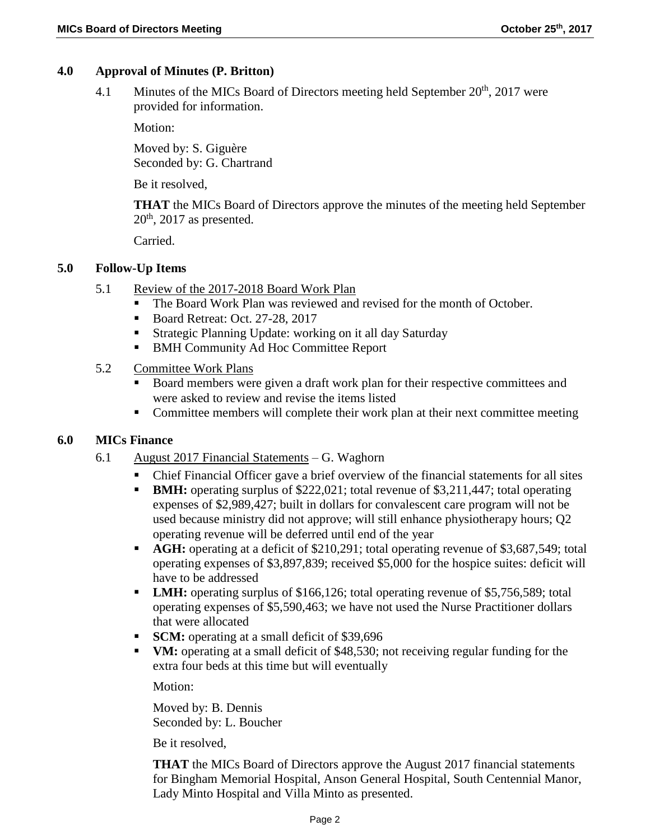### **4.0 Approval of Minutes (P. Britton)**

4.1 Minutes of the MICs Board of Directors meeting held September  $20<sup>th</sup>$ , 2017 were provided for information.

Motion:

Moved by: S. Giguère Seconded by: G. Chartrand

Be it resolved,

**THAT** the MICs Board of Directors approve the minutes of the meeting held September  $20<sup>th</sup>$ , 2017 as presented.

Carried.

### **5.0 Follow-Up Items**

- 5.1 Review of the 2017-2018 Board Work Plan
	- The Board Work Plan was reviewed and revised for the month of October.
	- Board Retreat: Oct. 27-28, 2017
	- Strategic Planning Update: working on it all day Saturday
	- **BMH Community Ad Hoc Committee Report**

#### 5.2 Committee Work Plans

- Board members were given a draft work plan for their respective committees and were asked to review and revise the items listed
- Committee members will complete their work plan at their next committee meeting

#### **6.0 MICs Finance**

- 6.1 August 2017 Financial Statements G. Waghorn
	- Chief Financial Officer gave a brief overview of the financial statements for all sites
	- **BMH:** operating surplus of \$222,021; total revenue of \$3,211,447; total operating expenses of \$2,989,427; built in dollars for convalescent care program will not be used because ministry did not approve; will still enhance physiotherapy hours; Q2 operating revenue will be deferred until end of the year
	- **AGH:** operating at a deficit of \$210,291; total operating revenue of \$3,687,549; total operating expenses of \$3,897,839; received \$5,000 for the hospice suites: deficit will have to be addressed
	- **LMH:** operating surplus of \$166,126; total operating revenue of \$5,756,589; total operating expenses of \$5,590,463; we have not used the Nurse Practitioner dollars that were allocated
	- **SCM:** operating at a small deficit of \$39,696
	- **VM:** operating at a small deficit of \$48,530; not receiving regular funding for the extra four beds at this time but will eventually

Motion:

Moved by: B. Dennis Seconded by: L. Boucher

Be it resolved,

**THAT** the MICs Board of Directors approve the August 2017 financial statements for Bingham Memorial Hospital, Anson General Hospital, South Centennial Manor, Lady Minto Hospital and Villa Minto as presented.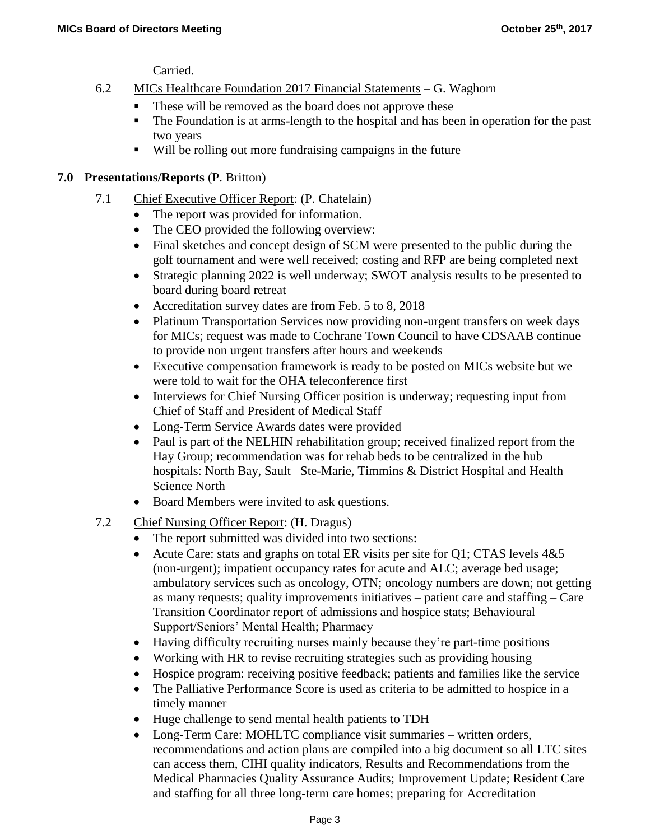Carried.

- 6.2 MICs Healthcare Foundation 2017 Financial Statements G. Waghorn
	- These will be removed as the board does not approve these
	- The Foundation is at arms-length to the hospital and has been in operation for the past two years
	- Will be rolling out more fundraising campaigns in the future

### **7.0 Presentations/Reports** (P. Britton)

- 7.1 Chief Executive Officer Report: (P. Chatelain)
	- The report was provided for information.
	- The CEO provided the following overview:
	- Final sketches and concept design of SCM were presented to the public during the golf tournament and were well received; costing and RFP are being completed next
	- Strategic planning 2022 is well underway; SWOT analysis results to be presented to board during board retreat
	- Accreditation survey dates are from Feb. 5 to 8, 2018
	- Platinum Transportation Services now providing non-urgent transfers on week days for MICs; request was made to Cochrane Town Council to have CDSAAB continue to provide non urgent transfers after hours and weekends
	- Executive compensation framework is ready to be posted on MICs website but we were told to wait for the OHA teleconference first
	- Interviews for Chief Nursing Officer position is underway; requesting input from Chief of Staff and President of Medical Staff
	- Long-Term Service Awards dates were provided
	- Paul is part of the NELHIN rehabilitation group; received finalized report from the Hay Group; recommendation was for rehab beds to be centralized in the hub hospitals: North Bay, Sault –Ste-Marie, Timmins & District Hospital and Health Science North
	- Board Members were invited to ask questions.
- 7.2 Chief Nursing Officer Report: (H. Dragus)
	- The report submitted was divided into two sections:
	- Acute Care: stats and graphs on total ER visits per site for  $O1$ ; CTAS levels  $4&5$ (non-urgent); impatient occupancy rates for acute and ALC; average bed usage; ambulatory services such as oncology, OTN; oncology numbers are down; not getting as many requests; quality improvements initiatives – patient care and staffing – Care Transition Coordinator report of admissions and hospice stats; Behavioural Support/Seniors' Mental Health; Pharmacy
	- Having difficulty recruiting nurses mainly because they're part-time positions
	- Working with HR to revise recruiting strategies such as providing housing
	- Hospice program: receiving positive feedback; patients and families like the service
	- The Palliative Performance Score is used as criteria to be admitted to hospice in a timely manner
	- Huge challenge to send mental health patients to TDH
	- Long-Term Care: MOHLTC compliance visit summaries written orders, recommendations and action plans are compiled into a big document so all LTC sites can access them, CIHI quality indicators, Results and Recommendations from the Medical Pharmacies Quality Assurance Audits; Improvement Update; Resident Care and staffing for all three long-term care homes; preparing for Accreditation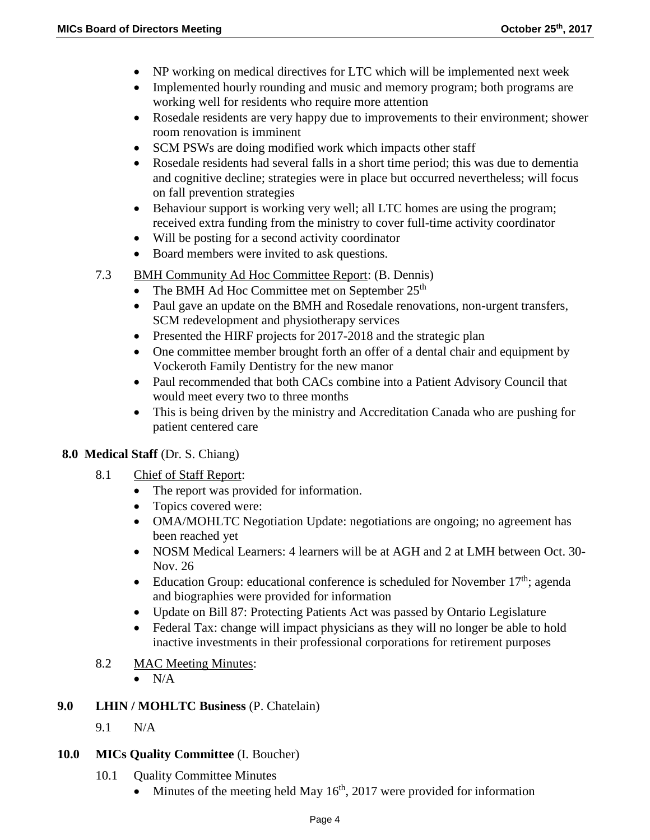- NP working on medical directives for LTC which will be implemented next week
- Implemented hourly rounding and music and memory program; both programs are working well for residents who require more attention
- Rosedale residents are very happy due to improvements to their environment; shower room renovation is imminent
- SCM PSWs are doing modified work which impacts other staff
- Rosedale residents had several falls in a short time period; this was due to dementia and cognitive decline; strategies were in place but occurred nevertheless; will focus on fall prevention strategies
- Behaviour support is working very well; all LTC homes are using the program; received extra funding from the ministry to cover full-time activity coordinator
- Will be posting for a second activity coordinator
- Board members were invited to ask questions.
- 7.3 BMH Community Ad Hoc Committee Report: (B. Dennis)
	- The BMH Ad Hoc Committee met on September  $25<sup>th</sup>$
	- Paul gave an update on the BMH and Rosedale renovations, non-urgent transfers, SCM redevelopment and physiotherapy services
	- Presented the HIRF projects for 2017-2018 and the strategic plan
	- One committee member brought forth an offer of a dental chair and equipment by Vockeroth Family Dentistry for the new manor
	- Paul recommended that both CACs combine into a Patient Advisory Council that would meet every two to three months
	- This is being driven by the ministry and Accreditation Canada who are pushing for patient centered care

#### **8.0 Medical Staff** (Dr. S. Chiang)

- 8.1 Chief of Staff Report:
	- The report was provided for information.
	- Topics covered were:
	- OMA/MOHLTC Negotiation Update: negotiations are ongoing; no agreement has been reached yet
	- NOSM Medical Learners: 4 learners will be at AGH and 2 at LMH between Oct. 30-Nov. 26
	- Education Group: educational conference is scheduled for November  $17<sup>th</sup>$ ; agenda and biographies were provided for information
	- Update on Bill 87: Protecting Patients Act was passed by Ontario Legislature
	- Federal Tax: change will impact physicians as they will no longer be able to hold inactive investments in their professional corporations for retirement purposes
- 8.2 MAC Meeting Minutes:
	- $\bullet$  N/A

# **9.0 LHIN / MOHLTC Business** (P. Chatelain)

9.1 N/A

# **10.0 MICs Quality Committee** (I. Boucher)

- 10.1 Ouality Committee Minutes
	- $\bullet$  Minutes of the meeting held May 16<sup>th</sup>, 2017 were provided for information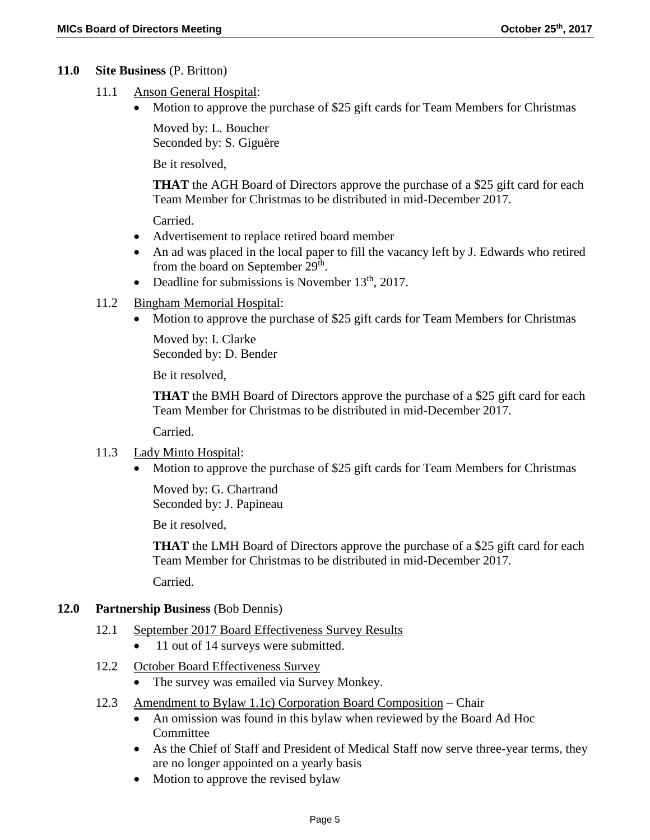### **11.0 Site Business** (P. Britton)

- 11.1 Anson General Hospital:
	- Motion to approve the purchase of \$25 gift cards for Team Members for Christmas

Moved by: L. Boucher Seconded by: S. Giguère

Be it resolved,

**THAT** the AGH Board of Directors approve the purchase of a \$25 gift card for each Team Member for Christmas to be distributed in mid-December 2017.

Carried.

- Advertisement to replace retired board member
- An ad was placed in the local paper to fill the vacancy left by J. Edwards who retired from the board on September  $29^{\text{th}}$ .
- Deadline for submissions is November  $13<sup>th</sup>$ , 2017.

### 11.2 Bingham Memorial Hospital:

• Motion to approve the purchase of \$25 gift cards for Team Members for Christmas

Moved by: I. Clarke Seconded by: D. Bender

Be it resolved,

**THAT** the BMH Board of Directors approve the purchase of a \$25 gift card for each Team Member for Christmas to be distributed in mid-December 2017.

Carried.

- 11.3 Lady Minto Hospital:
	- Motion to approve the purchase of \$25 gift cards for Team Members for Christmas

Moved by: G. Chartrand Seconded by: J. Papineau

Be it resolved,

**THAT** the LMH Board of Directors approve the purchase of a \$25 gift card for each Team Member for Christmas to be distributed in mid-December 2017. Carried.

# **12.0 Partnership Business** (Bob Dennis)

- 12.1 September 2017 Board Effectiveness Survey Results
	- 11 out of 14 surveys were submitted.
- 12.2 October Board Effectiveness Survey
	- The survey was emailed via Survey Monkey.
- 12.3 Amendment to Bylaw 1.1c) Corporation Board Composition Chair
	- An omission was found in this bylaw when reviewed by the Board Ad Hoc Committee
	- As the Chief of Staff and President of Medical Staff now serve three-year terms, they are no longer appointed on a yearly basis
	- Motion to approve the revised bylaw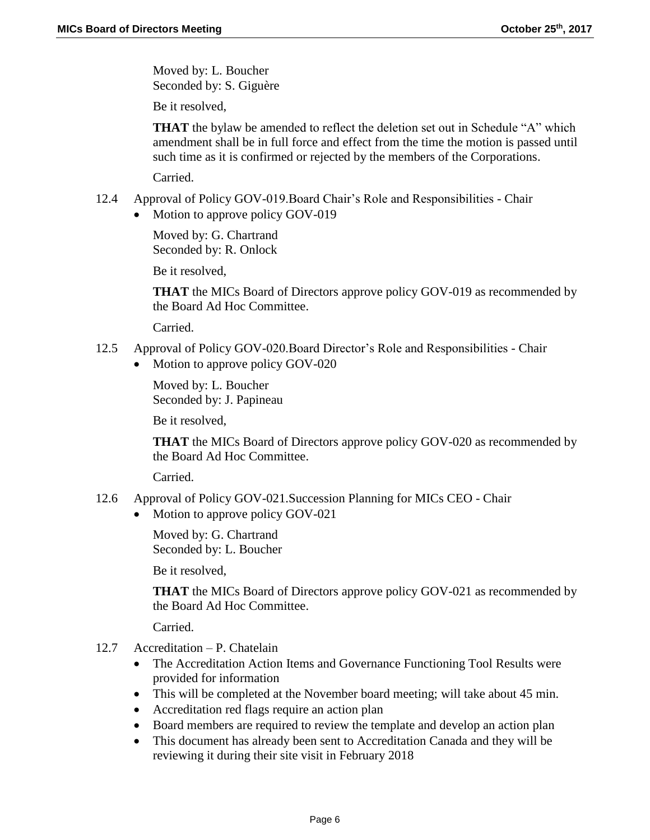Moved by: L. Boucher Seconded by: S. Giguère

Be it resolved,

**THAT** the bylaw be amended to reflect the deletion set out in Schedule "A" which amendment shall be in full force and effect from the time the motion is passed until such time as it is confirmed or rejected by the members of the Corporations.

Carried.

- 12.4 Approval of Policy GOV-019.Board Chair's Role and Responsibilities Chair
	- Motion to approve policy GOV-019

Moved by: G. Chartrand Seconded by: R. Onlock

Be it resolved,

**THAT** the MICs Board of Directors approve policy GOV-019 as recommended by the Board Ad Hoc Committee.

Carried.

- 12.5 Approval of Policy GOV-020.Board Director's Role and Responsibilities Chair
	- Motion to approve policy GOV-020

Moved by: L. Boucher Seconded by: J. Papineau

Be it resolved,

**THAT** the MICs Board of Directors approve policy GOV-020 as recommended by the Board Ad Hoc Committee.

Carried.

- 12.6 Approval of Policy GOV-021.Succession Planning for MICs CEO Chair
	- Motion to approve policy GOV-021

Moved by: G. Chartrand Seconded by: L. Boucher

Be it resolved,

**THAT** the MICs Board of Directors approve policy GOV-021 as recommended by the Board Ad Hoc Committee.

Carried.

- 12.7 Accreditation P. Chatelain
	- The Accreditation Action Items and Governance Functioning Tool Results were provided for information
	- This will be completed at the November board meeting; will take about 45 min.
	- Accreditation red flags require an action plan
	- Board members are required to review the template and develop an action plan
	- This document has already been sent to Accreditation Canada and they will be reviewing it during their site visit in February 2018